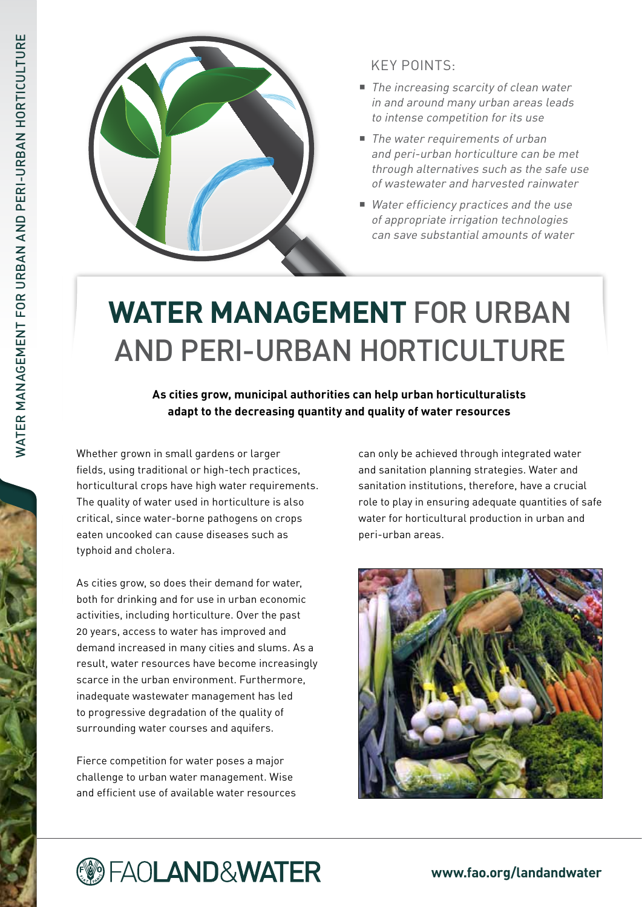

## Key points:

- The increasing scarcity of clean water in and around many urban areas leads to intense competition for its use
- The water requirements of urban and peri-urban horticulture can be met through alternatives such as the safe use of wastewater and harvested rainwater
- Water efficiency practices and the use of appropriate irrigation technologies can save substantial amounts of water

# **Water management** for Urban and Peri-urban Horticulture

**As cities grow, municipal authorities can help urban horticulturalists adapt to the decreasing quantity and quality of water resources**

Whether grown in small gardens or larger fields, using traditional or high-tech practices, horticultural crops have high water requirements. The quality of water used in horticulture is also critical, since water-borne pathogens on crops eaten uncooked can cause diseases such as typhoid and cholera.

As cities grow, so does their demand for water, both for drinking and for use in urban economic activities, including horticulture. Over the past 20 years, access to water has improved and demand increased in many cities and slums. As a result, water resources have become increasingly scarce in the urban environment. Furthermore, inadequate wastewater management has led to progressive degradation of the quality of surrounding water courses and aquifers.

Fierce competition for water poses a major challenge to urban water management. Wise and efficient use of available water resources can only be achieved through integrated water and sanitation planning strategies. Water and sanitation institutions, therefore, have a crucial role to play in ensuring adequate quantities of safe water for horticultural production in urban and peri-urban areas.



# **@FAOLAND&WATER**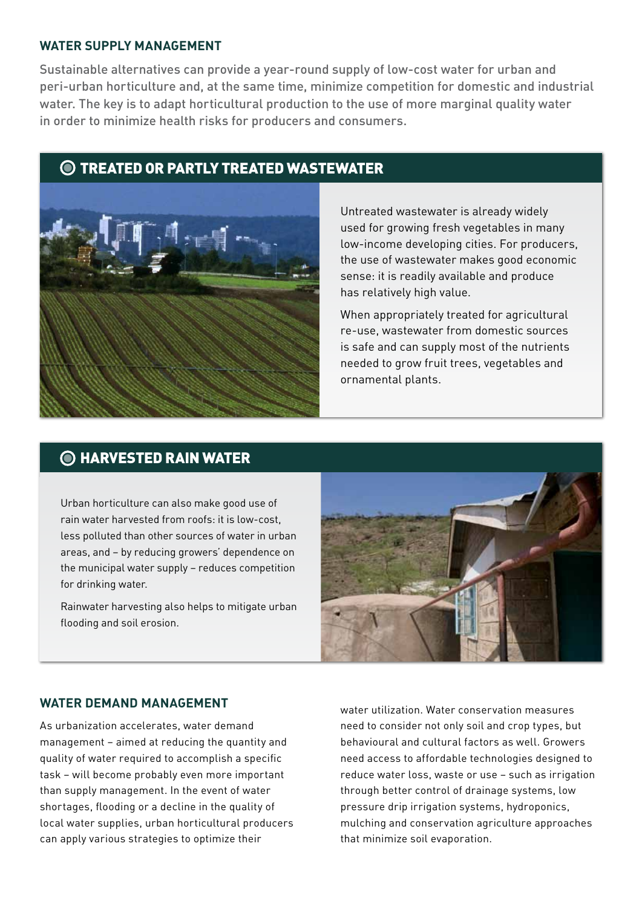#### **Water supply management**

Sustainable alternatives can provide a year-round supply of low-cost water for urban and peri-urban horticulture and, at the same time, minimize competition for domestic and industrial water. The key is to adapt horticultural production to the use of more marginal quality water in order to minimize health risks for producers and consumers.

## $\bigcirc$  Treated or partly treated wastewater



Untreated wastewater is already widely used for growing fresh vegetables in many low-income developing cities. For producers, the use of wastewater makes good economic sense: it is readily available and produce has relatively high value.

When appropriately treated for agricultural re-use, wastewater from domestic sources is safe and can supply most of the nutrients needed to grow fruit trees, vegetables and ornamental plants.

## **O HARVESTED RAIN WATER**

Urban horticulture can also make good use of rain water harvested from roofs: it is low-cost, less polluted than other sources of water in urban areas, and – by reducing growers' dependence on the municipal water supply – reduces competition for drinking water.

Rainwater harvesting also helps to mitigate urban flooding and soil erosion.



#### **Water demand management**

As urbanization accelerates, water demand management – aimed at reducing the quantity and quality of water required to accomplish a specific task – will become probably even more important than supply management. In the event of water shortages, flooding or a decline in the quality of local water supplies, urban horticultural producers can apply various strategies to optimize their

water utilization. Water conservation measures need to consider not only soil and crop types, but behavioural and cultural factors as well. Growers need access to affordable technologies designed to reduce water loss, waste or use – such as irrigation through better control of drainage systems, low pressure drip irrigation systems, hydroponics, mulching and conservation agriculture approaches that minimize soil evaporation.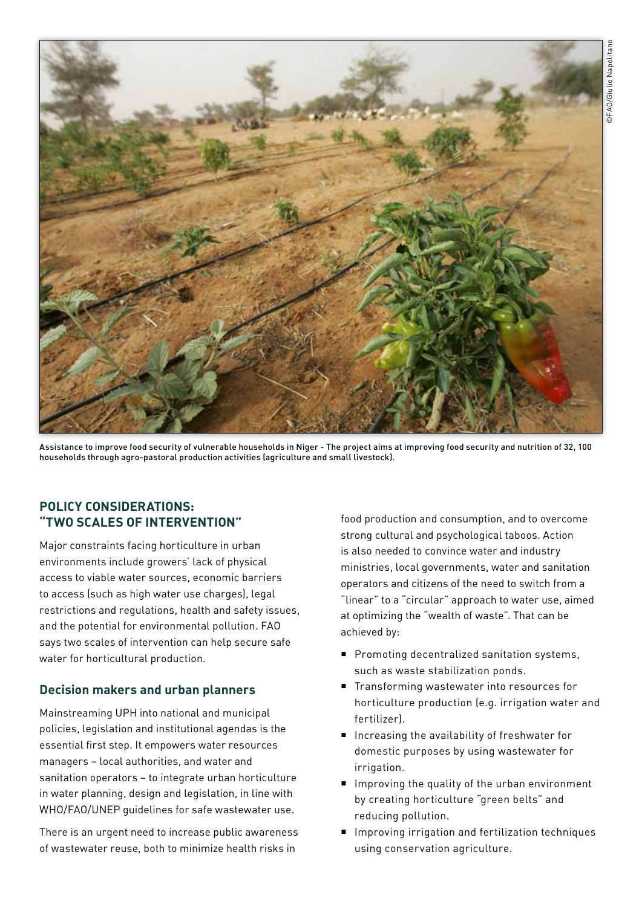

Assistance to improve food security of vulnerable households in Niger - The project aims at improving food security and nutrition of 32, 100 households through agro-pastoral production activities (agriculture and small livestock).

## **Policy considerations: "Two scales of intervention"**

Major constraints facing horticulture in urban environments include growers' lack of physical access to viable water sources, economic barriers to access (such as high water use charges), legal restrictions and regulations, health and safety issues, and the potential for environmental pollution. FAO says two scales of intervention can help secure safe water for horticultural production.

## **Decision makers and urban planners**

Mainstreaming UPH into national and municipal policies, legislation and institutional agendas is the essential first step. It empowers water resources managers – local authorities, and water and sanitation operators – to integrate urban horticulture in water planning, design and legislation, in line with WHO/FAO/UNEP guidelines for safe wastewater use.

There is an urgent need to increase public awareness of wastewater reuse, both to minimize health risks in

food production and consumption, and to overcome strong cultural and psychological taboos. Action is also needed to convince water and industry ministries, local governments, water and sanitation operators and citizens of the need to switch from a "linear" to a "circular" approach to water use, aimed at optimizing the "wealth of waste". That can be achieved by:

- **Promoting decentralized sanitation systems,** such as waste stabilization ponds.
- Transforming wastewater into resources for horticulture production (e.g. irrigation water and fertilizer).
- Increasing the availability of freshwater for domestic purposes by using wastewater for irrigation.
- $\blacksquare$  Improving the quality of the urban environment by creating horticulture "green belts" and reducing pollution.
- **Improving irrigation and fertilization techniques** using conservation agriculture.